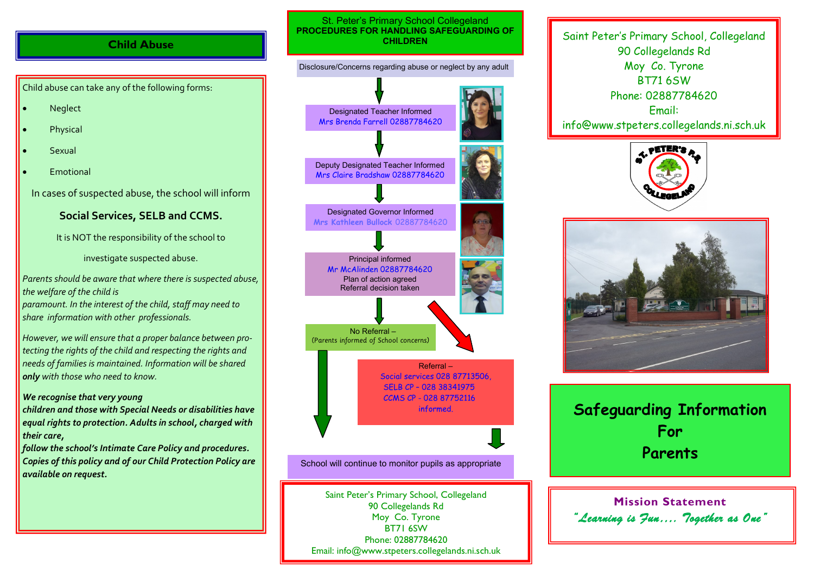## **Child Abuse**

Child abuse can take any of the following forms:

- Neglect
- Physical
- Sexual
- Emotional

In cases of suspected abuse, the school will inform

## **Social Services, SELB and CCMS.**

It is NOT the responsibility of the school to

investigate suspected abuse.

*Parents should be aware that where there is suspected abuse, the welfare of the child is* 

*paramount. In the interest of the child, staff may need to share information with other professionals.* 

*However, we will ensure that a proper balance between protecting the rights of the child and respecting the rights and needs of families is maintained. Information will be shared only with those who need to know.*

## *We recognise that very young*

*children and those with Special Needs or disabilities have equal rights to protection. Adults in school, charged with their care,* 

*follow the school's Intimate Care Policy and procedures. Copies of this policy and of our Child Protection Policy are available on request.*

### St. Peter's Primary School Collegeland **PROCEDURES FOR HANDLING SAFEGUARDING OF CHILDREN**

# Designated Teacher Informed Mrs Brenda Farrell 02887784620 Disclosure/Concerns regarding abuse or neglect by any adult Principal informed Mr McAlinden 02887784620 Plan of action agreed Referral decision taken No Referral – (Parents informed of School concerns) Referral – Social services 028 87713506, SELB CP – 028 38341975 CCMS CP - 028 87752116 informed. Designated Governor Informed **Mrs Kathleen Bullock** 02887784620 Deputy Designated Teacher Informed Mrs Claire Bradshaw 02887784620

School will continue to monitor pupils as appropriate

Saint Peter's Primary School, Collegeland 90 Collegelands Rd Moy Co. Tyrone BT71 6SW Phone: 02887784620 Email: info@www.stpeters.collegelands.ni.sch.uk

Saint Peter's Primary School, Collegeland 90 Collegelands Rd Moy Co. Tyrone BT71 6SW Phone: 02887784620 Email: info@www.stpeters.collegelands.ni.sch.uk





**Safeguarding Information For Parents**

**Mission Statement** *"Learning is Fun…. Together as One"*